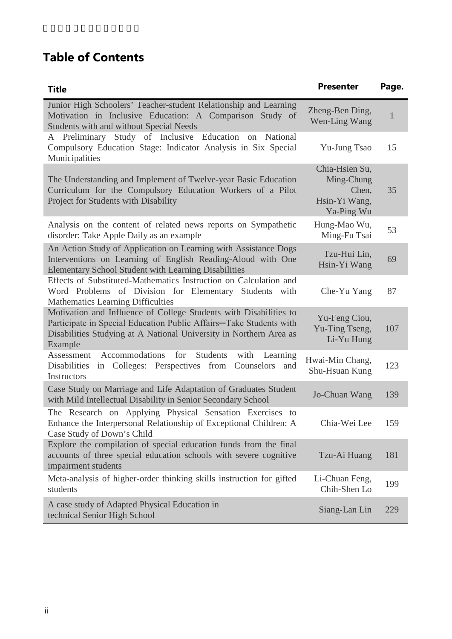## **Table of Contents**

| <b>Title</b>                                                                                                                                                                                                             | <b>Presenter</b>                                                     | Page. |
|--------------------------------------------------------------------------------------------------------------------------------------------------------------------------------------------------------------------------|----------------------------------------------------------------------|-------|
| Junior High Schoolers' Teacher-student Relationship and Learning<br>Motivation in Inclusive Education: A Comparison Study of<br>Students with and without Special Needs                                                  | Zheng-Ben Ding,<br>Wen-Ling Wang                                     | 1     |
| A Preliminary Study of Inclusive Education<br>on National<br>Compulsory Education Stage: Indicator Analysis in Six Special<br>Municipalities                                                                             | Yu-Jung Tsao                                                         | 15    |
| The Understanding and Implement of Twelve-year Basic Education<br>Curriculum for the Compulsory Education Workers of a Pilot<br>Project for Students with Disability                                                     | Chia-Hsien Su,<br>Ming-Chung<br>Chen,<br>Hsin-Yi Wang,<br>Ya-Ping Wu | 35    |
| Analysis on the content of related news reports on Sympathetic<br>disorder: Take Apple Daily as an example                                                                                                               | Hung-Mao Wu,<br>Ming-Fu Tsai                                         | 53    |
| An Action Study of Application on Learning with Assistance Dogs<br>Interventions on Learning of English Reading-Aloud with One<br><b>Elementary School Student with Learning Disabilities</b>                            | Tzu-Hui Lin,<br>Hsin-Yi Wang                                         | 69    |
| Effects of Substituted-Mathematics Instruction on Calculation and<br>Word Problems of Division for Elementary Students with<br><b>Mathematics Learning Difficulties</b>                                                  | Che-Yu Yang                                                          | 87    |
| Motivation and Influence of College Students with Disabilities to<br>Participate in Special Education Public Affairs-Take Students with<br>Disabilities Studying at A National University in Northern Area as<br>Example | Yu-Feng Ciou,<br>Yu-Ting Tseng,<br>Li-Yu Hung                        | 107   |
| for<br>Accommodations<br>Students<br>with<br>Learning<br>Assessment<br>Disabilities<br>in Colleges: Perspectives from Counselors and<br>Instructors                                                                      | Hwai-Min Chang,<br>Shu-Hsuan Kung                                    | 123   |
| Case Study on Marriage and Life Adaptation of Graduates Student<br>with Mild Intellectual Disability in Senior Secondary School                                                                                          | Jo-Chuan Wang                                                        | 139   |
| The Research on Applying Physical Sensation Exercises to<br>Enhance the Interpersonal Relationship of Exceptional Children: A<br>Case Study of Down's Child                                                              | Chia-Wei Lee                                                         | 159   |
| Explore the compilation of special education funds from the final<br>accounts of three special education schools with severe cognitive<br>impairment students                                                            | Tzu-Ai Huang                                                         | 181   |
| Meta-analysis of higher-order thinking skills instruction for gifted<br>students                                                                                                                                         | Li-Chuan Feng,<br>Chih-Shen Lo                                       | 199   |
| A case study of Adapted Physical Education in<br>technical Senior High School                                                                                                                                            | Siang-Lan Lin                                                        | 229   |